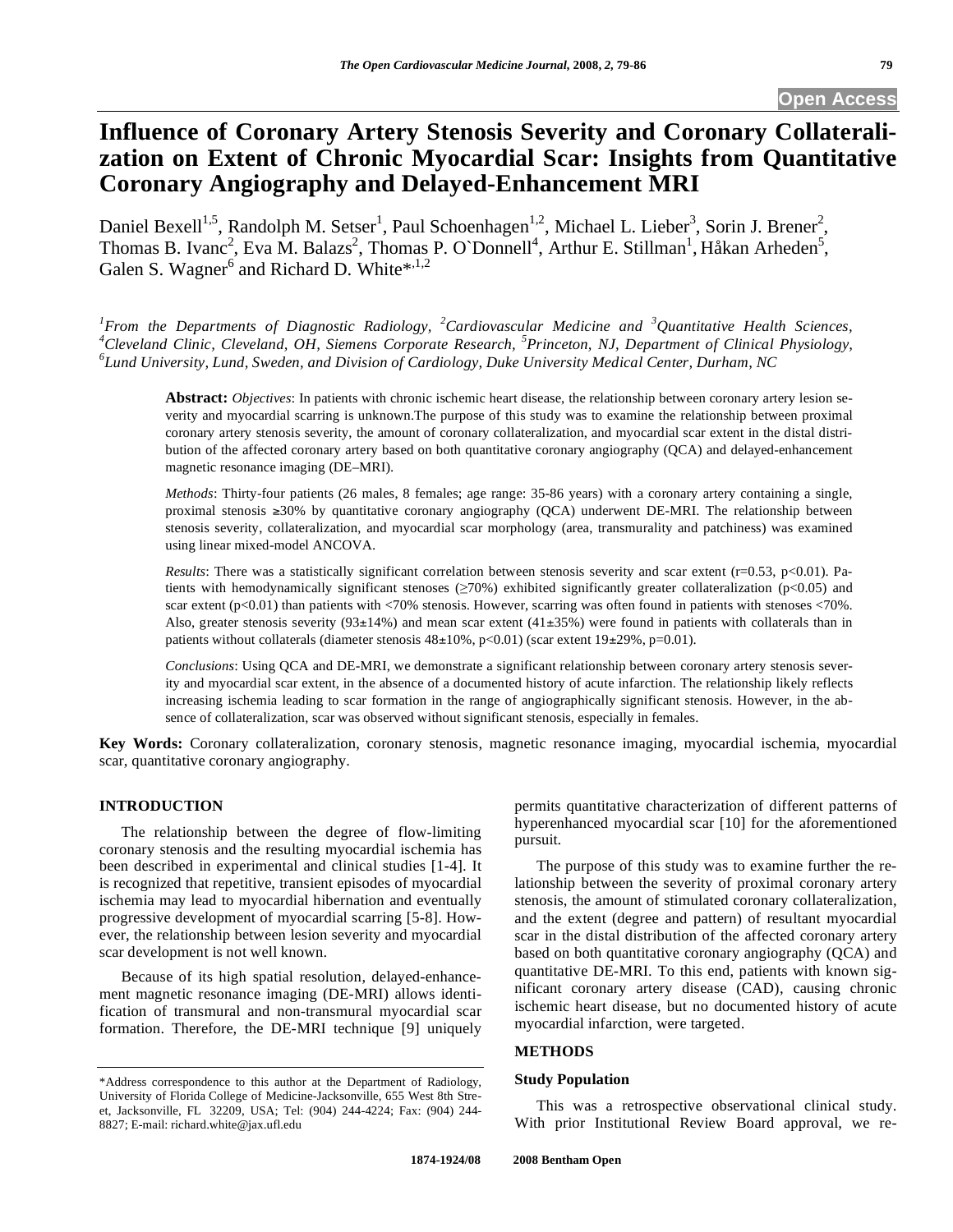# **Influence of Coronary Artery Stenosis Severity and Coronary Collateralization on Extent of Chronic Myocardial Scar: Insights from Quantitative Coronary Angiography and Delayed-Enhancement MRI**

Daniel Bexell<sup>1,5</sup>, Randolph M. Setser<sup>1</sup>, Paul Schoenhagen<sup>1,2</sup>, Michael L. Lieber<sup>3</sup>, Sorin J. Brener<sup>2</sup>, Thomas B. Ivanc<sup>2</sup>, Eva M. Balazs<sup>2</sup>, Thomas P. O`Donnell<sup>4</sup>, Arthur E. Stillman<sup>1</sup>, Håkan Arheden<sup>5</sup>, Galen S. Wagner<sup>6</sup> and Richard D. White\*,<sup>1,2</sup>

*1 From the Departments of Diagnostic Radiology, <sup>2</sup> Cardiovascular Medicine and <sup>3</sup> Quantitative Health Sciences, 4* <sup>4</sup>Cleveland Clinic, Cleveland, OH, Siemens Corporate Research, <sup>5</sup>Princeton, NJ, Department of Clinical Physiology, 6<sup>6</sup>L and Linius raits. Land Surgeon, and Division of Cardialson, Duke University Archives and Division o *Lund University, Lund, Sweden, and Division of Cardiology, Duke University Medical Center, Durham, NC* 

**Abstract:** *Objectives*: In patients with chronic ischemic heart disease, the relationship between coronary artery lesion severity and myocardial scarring is unknown.The purpose of this study was to examine the relationship between proximal coronary artery stenosis severity, the amount of coronary collateralization, and myocardial scar extent in the distal distribution of the affected coronary artery based on both quantitative coronary angiography (QCA) and delayed-enhancement magnetic resonance imaging (DE–MRI).

*Methods*: Thirty-four patients (26 males, 8 females; age range: 35-86 years) with a coronary artery containing a single, proximal stenosis  $\geq 30\%$  by quantitative coronary angiography (QCA) underwent DE-MRI. The relationship between stenosis severity, collateralization, and myocardial scar morphology (area, transmurality and patchiness) was examined using linear mixed-model ANCOVA.

*Results*: There was a statistically significant correlation between stenosis severity and scar extent (r=0.53, p<0.01). Patients with hemodynamically significant stenoses  $(\geq 70\%)$  exhibited significantly greater collateralization (p<0.05) and scar extent ( $p<0.01$ ) than patients with  $<70%$  stenosis. However, scarring was often found in patients with stenoses  $<70%$ . Also, greater stenosis severity  $(93\pm14\%)$  and mean scar extent  $(41\pm35\%)$  were found in patients with collaterals than in patients without collaterals (diameter stenosis  $48\pm10\%$ , p<0.01) (scar extent  $19\pm29\%$ , p=0.01).

*Conclusions*: Using QCA and DE-MRI, we demonstrate a significant relationship between coronary artery stenosis severity and myocardial scar extent, in the absence of a documented history of acute infarction. The relationship likely reflects increasing ischemia leading to scar formation in the range of angiographically significant stenosis. However, in the absence of collateralization, scar was observed without significant stenosis, especially in females.

**Key Words:** Coronary collateralization, coronary stenosis, magnetic resonance imaging, myocardial ischemia, myocardial scar, quantitative coronary angiography.

## **INTRODUCTION**

 The relationship between the degree of flow-limiting coronary stenosis and the resulting myocardial ischemia has been described in experimental and clinical studies [1-4]. It is recognized that repetitive, transient episodes of myocardial ischemia may lead to myocardial hibernation and eventually progressive development of myocardial scarring [5-8]. However, the relationship between lesion severity and myocardial scar development is not well known.

 Because of its high spatial resolution, delayed-enhancement magnetic resonance imaging (DE-MRI) allows identification of transmural and non-transmural myocardial scar formation. Therefore, the DE-MRI technique [9] uniquely

permits quantitative characterization of different patterns of hyperenhanced myocardial scar [10] for the aforementioned pursuit.

 The purpose of this study was to examine further the relationship between the severity of proximal coronary artery stenosis, the amount of stimulated coronary collateralization, and the extent (degree and pattern) of resultant myocardial scar in the distal distribution of the affected coronary artery based on both quantitative coronary angiography (QCA) and quantitative DE-MRI. To this end, patients with known significant coronary artery disease (CAD), causing chronic ischemic heart disease, but no documented history of acute myocardial infarction, were targeted.

## **METHODS**

## **Study Population**

 This was a retrospective observational clinical study. With prior Institutional Review Board approval, we re-

<sup>\*</sup>Address correspondence to this author at the Department of Radiology, University of Florida College of Medicine-Jacksonville, 655 West 8th Street, Jacksonville, FL 32209, USA; Tel: (904) 244-4224; Fax: (904) 244- 8827; E-mail: richard.white@jax.ufl.edu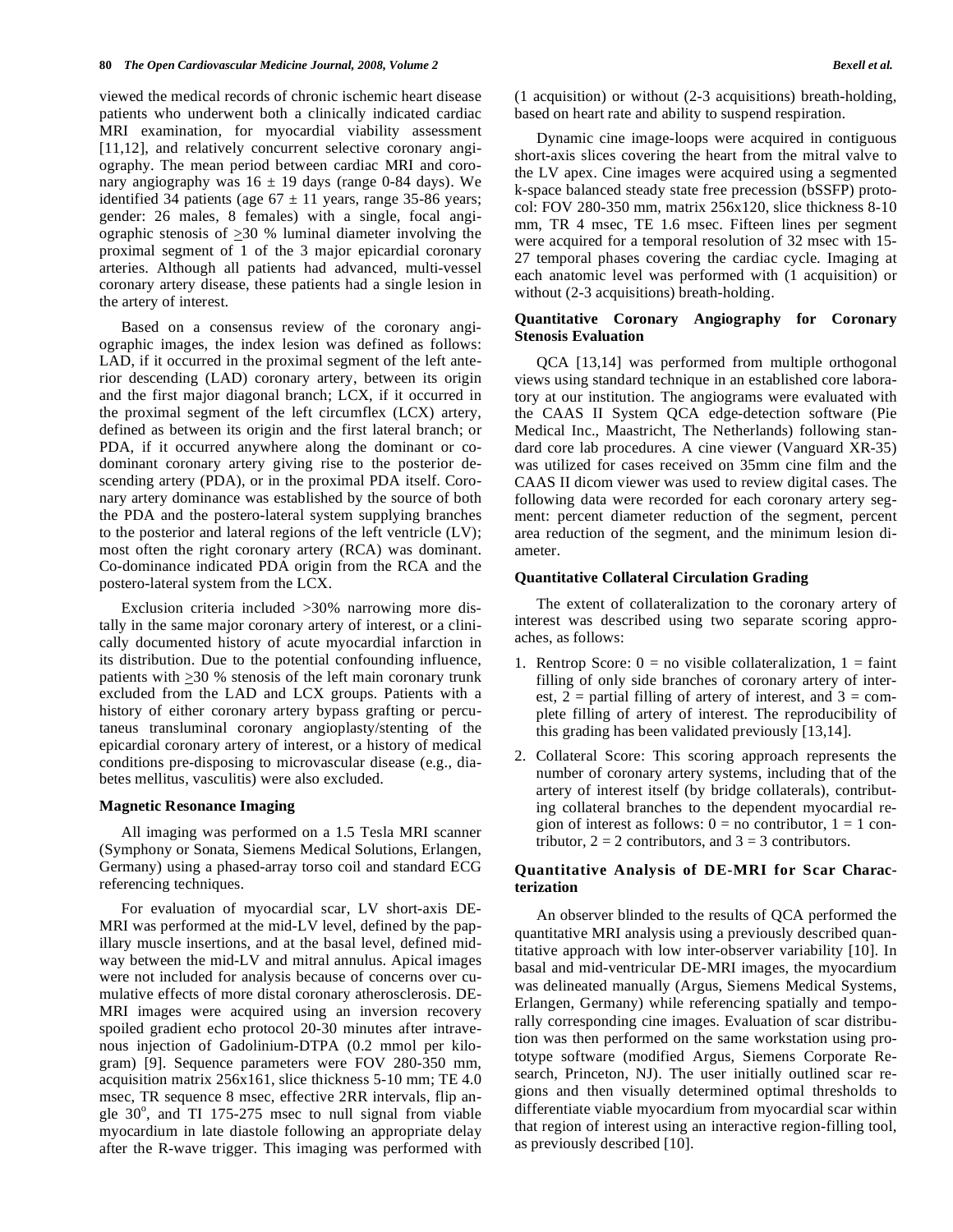viewed the medical records of chronic ischemic heart disease patients who underwent both a clinically indicated cardiac MRI examination, for myocardial viability assessment [11,12], and relatively concurrent selective coronary angiography. The mean period between cardiac MRI and coronary angiography was  $16 \pm 19$  days (range 0-84 days). We identified 34 patients (age  $67 \pm 11$  years, range 35-86 years; gender: 26 males, 8 females) with a single, focal angiographic stenosis of >30 % luminal diameter involving the proximal segment of 1 of the 3 major epicardial coronary arteries. Although all patients had advanced, multi-vessel coronary artery disease, these patients had a single lesion in the artery of interest.

 Based on a consensus review of the coronary angiographic images, the index lesion was defined as follows: LAD, if it occurred in the proximal segment of the left anterior descending (LAD) coronary artery, between its origin and the first major diagonal branch; LCX, if it occurred in the proximal segment of the left circumflex (LCX) artery, defined as between its origin and the first lateral branch; or PDA, if it occurred anywhere along the dominant or codominant coronary artery giving rise to the posterior descending artery (PDA), or in the proximal PDA itself. Coronary artery dominance was established by the source of both the PDA and the postero-lateral system supplying branches to the posterior and lateral regions of the left ventricle (LV); most often the right coronary artery (RCA) was dominant. Co-dominance indicated PDA origin from the RCA and the postero-lateral system from the LCX.

 Exclusion criteria included >30% narrowing more distally in the same major coronary artery of interest, or a clinically documented history of acute myocardial infarction in its distribution. Due to the potential confounding influence, patients with  $\geq$ 30 % stenosis of the left main coronary trunk excluded from the LAD and LCX groups. Patients with a history of either coronary artery bypass grafting or percutaneus transluminal coronary angioplasty/stenting of the epicardial coronary artery of interest, or a history of medical conditions pre-disposing to microvascular disease (e.g., diabetes mellitus, vasculitis) were also excluded.

### **Magnetic Resonance Imaging**

 All imaging was performed on a 1.5 Tesla MRI scanner (Symphony or Sonata, Siemens Medical Solutions, Erlangen, Germany) using a phased-array torso coil and standard ECG referencing techniques.

 For evaluation of myocardial scar, LV short-axis DE-MRI was performed at the mid-LV level, defined by the papillary muscle insertions, and at the basal level, defined midway between the mid-LV and mitral annulus. Apical images were not included for analysis because of concerns over cumulative effects of more distal coronary atherosclerosis. DE-MRI images were acquired using an inversion recovery spoiled gradient echo protocol 20-30 minutes after intravenous injection of Gadolinium-DTPA (0.2 mmol per kilogram) [9]. Sequence parameters were FOV 280-350 mm, acquisition matrix 256x161, slice thickness 5-10 mm; TE 4.0 msec, TR sequence 8 msec, effective 2RR intervals, flip angle  $30^\circ$ , and TI 175-275 msec to null signal from viable myocardium in late diastole following an appropriate delay after the R-wave trigger. This imaging was performed with

(1 acquisition) or without (2-3 acquisitions) breath-holding, based on heart rate and ability to suspend respiration.

 Dynamic cine image-loops were acquired in contiguous short-axis slices covering the heart from the mitral valve to the LV apex. Cine images were acquired using a segmented k-space balanced steady state free precession (bSSFP) protocol: FOV 280-350 mm, matrix 256x120, slice thickness 8-10 mm, TR 4 msec, TE 1.6 msec. Fifteen lines per segment were acquired for a temporal resolution of 32 msec with 15- 27 temporal phases covering the cardiac cycle. Imaging at each anatomic level was performed with (1 acquisition) or without (2-3 acquisitions) breath-holding.

#### **Quantitative Coronary Angiography for Coronary Stenosis Evaluation**

 QCA [13,14] was performed from multiple orthogonal views using standard technique in an established core laboratory at our institution. The angiograms were evaluated with the CAAS II System QCA edge-detection software (Pie Medical Inc., Maastricht, The Netherlands) following standard core lab procedures. A cine viewer (Vanguard XR-35) was utilized for cases received on 35mm cine film and the CAAS II dicom viewer was used to review digital cases. The following data were recorded for each coronary artery segment: percent diameter reduction of the segment, percent area reduction of the segment, and the minimum lesion diameter.

#### **Quantitative Collateral Circulation Grading**

 The extent of collateralization to the coronary artery of interest was described using two separate scoring approaches, as follows:

- 1. Rentrop Score:  $0 = no$  visible collateralization,  $1 = faint$ filling of only side branches of coronary artery of interest,  $2$  = partial filling of artery of interest, and  $3$  = complete filling of artery of interest. The reproducibility of this grading has been validated previously [13,14].
- 2. Collateral Score: This scoring approach represents the number of coronary artery systems, including that of the artery of interest itself (by bridge collaterals), contributing collateral branches to the dependent myocardial region of interest as follows:  $0 = no$  contributor,  $1 = 1$  contributor,  $2 = 2$  contributors, and  $3 = 3$  contributors.

## **Quantitative Analysis of DE-MRI for Scar Characterization**

 An observer blinded to the results of QCA performed the quantitative MRI analysis using a previously described quantitative approach with low inter-observer variability [10]. In basal and mid-ventricular DE-MRI images, the myocardium was delineated manually (Argus, Siemens Medical Systems, Erlangen, Germany) while referencing spatially and temporally corresponding cine images. Evaluation of scar distribution was then performed on the same workstation using prototype software (modified Argus, Siemens Corporate Research, Princeton, NJ). The user initially outlined scar regions and then visually determined optimal thresholds to differentiate viable myocardium from myocardial scar within that region of interest using an interactive region-filling tool, as previously described [10].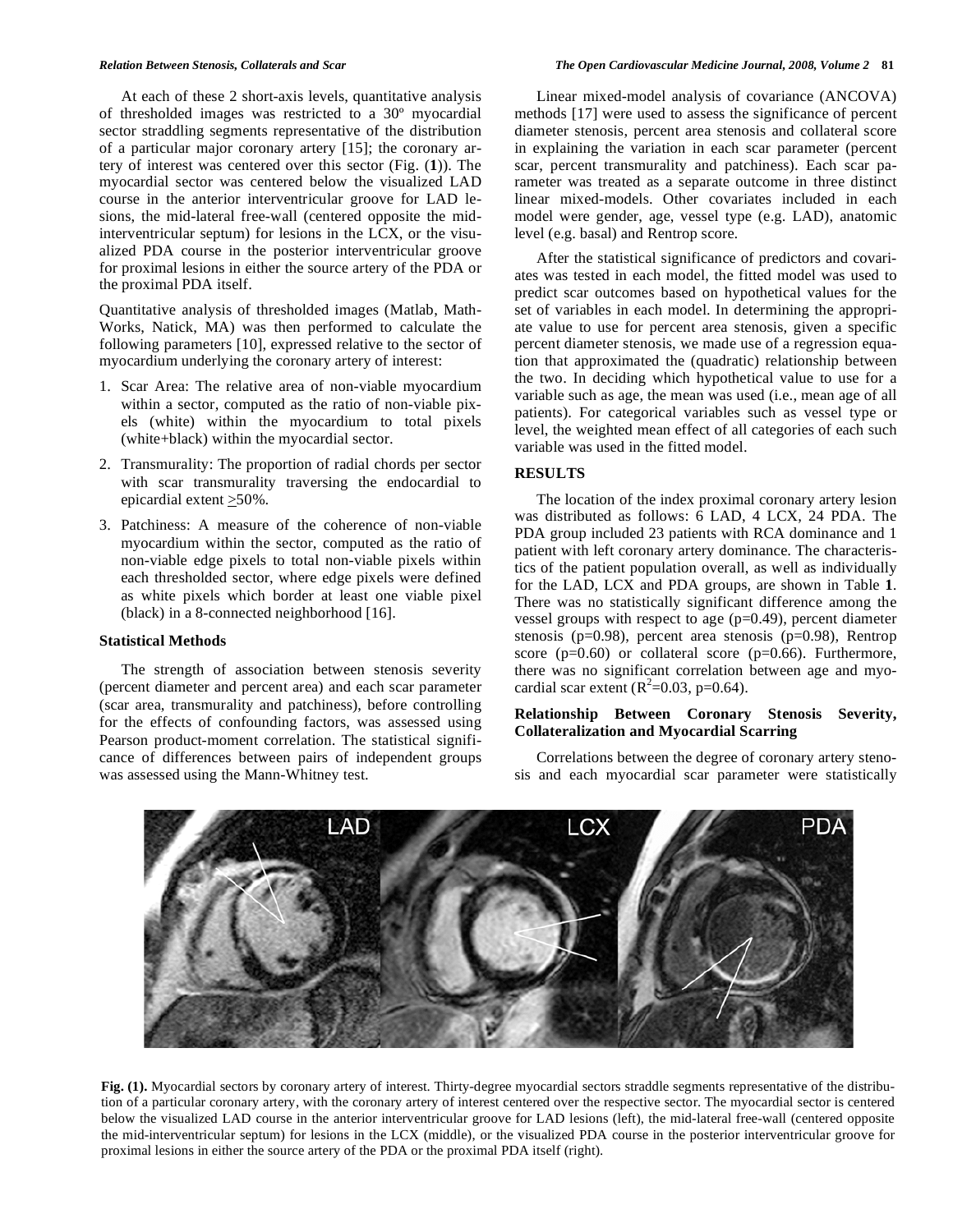At each of these 2 short-axis levels, quantitative analysis of thresholded images was restricted to a 30º myocardial sector straddling segments representative of the distribution of a particular major coronary artery [15]; the coronary artery of interest was centered over this sector (Fig. (**1**)). The myocardial sector was centered below the visualized LAD course in the anterior interventricular groove for LAD lesions, the mid-lateral free-wall (centered opposite the midinterventricular septum) for lesions in the LCX, or the visualized PDA course in the posterior interventricular groove for proximal lesions in either the source artery of the PDA or the proximal PDA itself.

Quantitative analysis of thresholded images (Matlab, Math-Works, Natick, MA) was then performed to calculate the following parameters [10], expressed relative to the sector of myocardium underlying the coronary artery of interest:

- 1. Scar Area: The relative area of non-viable myocardium within a sector, computed as the ratio of non-viable pixels (white) within the myocardium to total pixels (white+black) within the myocardial sector.
- 2. Transmurality: The proportion of radial chords per sector with scar transmurality traversing the endocardial to epicardial extent  $\geq$ 50%.
- 3. Patchiness: A measure of the coherence of non-viable myocardium within the sector, computed as the ratio of non-viable edge pixels to total non-viable pixels within each thresholded sector, where edge pixels were defined as white pixels which border at least one viable pixel (black) in a 8-connected neighborhood [16].

## **Statistical Methods**

 The strength of association between stenosis severity (percent diameter and percent area) and each scar parameter (scar area, transmurality and patchiness), before controlling for the effects of confounding factors, was assessed using Pearson product-moment correlation. The statistical significance of differences between pairs of independent groups was assessed using the Mann-Whitney test.

 Linear mixed-model analysis of covariance (ANCOVA) methods [17] were used to assess the significance of percent diameter stenosis, percent area stenosis and collateral score in explaining the variation in each scar parameter (percent scar, percent transmurality and patchiness). Each scar parameter was treated as a separate outcome in three distinct linear mixed-models. Other covariates included in each model were gender, age, vessel type (e.g. LAD), anatomic level (e.g. basal) and Rentrop score.

 After the statistical significance of predictors and covariates was tested in each model, the fitted model was used to predict scar outcomes based on hypothetical values for the set of variables in each model. In determining the appropriate value to use for percent area stenosis, given a specific percent diameter stenosis, we made use of a regression equation that approximated the (quadratic) relationship between the two. In deciding which hypothetical value to use for a variable such as age, the mean was used (i.e., mean age of all patients). For categorical variables such as vessel type or level, the weighted mean effect of all categories of each such variable was used in the fitted model.

## **RESULTS**

 The location of the index proximal coronary artery lesion was distributed as follows: 6 LAD, 4 LCX, 24 PDA. The PDA group included 23 patients with RCA dominance and 1 patient with left coronary artery dominance. The characteristics of the patient population overall, as well as individually for the LAD, LCX and PDA groups, are shown in Table **1**. There was no statistically significant difference among the vessel groups with respect to age  $(p=0.49)$ , percent diameter stenosis (p=0.98), percent area stenosis (p=0.98), Rentrop score ( $p=0.60$ ) or collateral score ( $p=0.66$ ). Furthermore, there was no significant correlation between age and myocardial scar extent ( $R^2$ =0.03, p=0.64).

## **Relationship Between Coronary Stenosis Severity, Collateralization and Myocardial Scarring**

 Correlations between the degree of coronary artery stenosis and each myocardial scar parameter were statistically



Fig. (1). Myocardial sectors by coronary artery of interest. Thirty-degree myocardial sectors straddle segments representative of the distribution of a particular coronary artery, with the coronary artery of interest centered over the respective sector. The myocardial sector is centered below the visualized LAD course in the anterior interventricular groove for LAD lesions (left), the mid-lateral free-wall (centered opposite the mid-interventricular septum) for lesions in the LCX (middle), or the visualized PDA course in the posterior interventricular groove for proximal lesions in either the source artery of the PDA or the proximal PDA itself (right).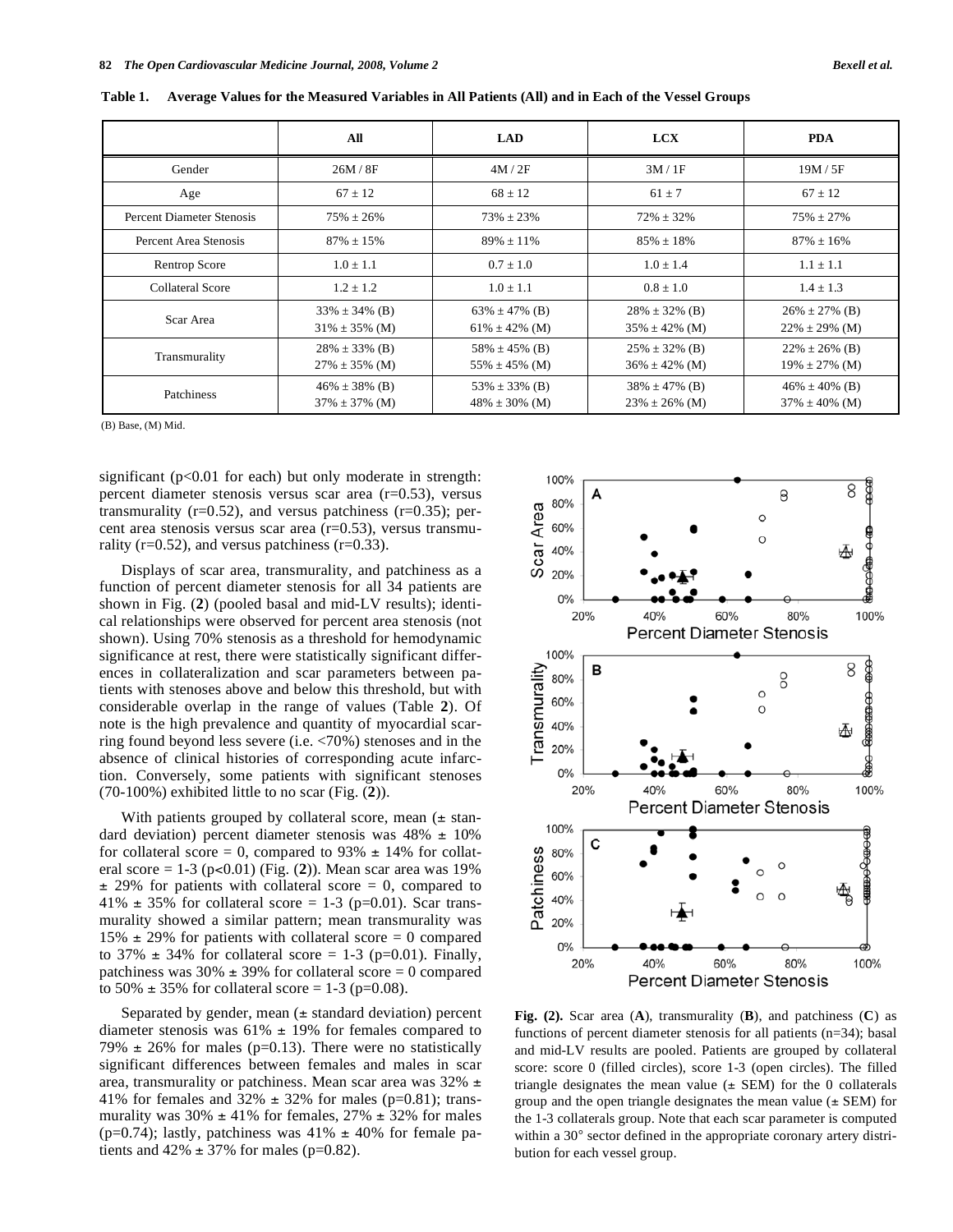|                           | All                                        | <b>LAD</b>                                 | <b>LCX</b>                                 | <b>PDA</b>                                 |
|---------------------------|--------------------------------------------|--------------------------------------------|--------------------------------------------|--------------------------------------------|
| Gender                    | 26M/8F                                     | 4M/2F                                      | 3M/1F                                      | 19M / 5F                                   |
| Age                       | $67 \pm 12$                                | $68 \pm 12$                                | $61 \pm 7$                                 | $67 \pm 12$                                |
| Percent Diameter Stenosis | $75\% \pm 26\%$                            | $73\% \pm 23\%$                            | $72\% \pm 32\%$                            | $75\% \pm 27\%$                            |
| Percent Area Stenosis     | $87\% \pm 15\%$                            | $89\% \pm 11\%$                            | $85\% \pm 18\%$                            | $87\% \pm 16\%$                            |
| <b>Rentrop Score</b>      | $1.0 \pm 1.1$                              | $0.7 \pm 1.0$                              | $1.0 + 1.4$                                | $1.1 \pm 1.1$                              |
| <b>Collateral Score</b>   | $1.2 \pm 1.2$                              | $1.0 \pm 1.1$                              | $0.8 \pm 1.0$                              | $1.4 \pm 1.3$                              |
| Scar Area                 | $33\% \pm 34\%$ (B)<br>$31\% \pm 35\%$ (M) | $63\% \pm 47\%$ (B)<br>$61\% \pm 42\%$ (M) | $28\% \pm 32\%$ (B)<br>$35\% \pm 42\%$ (M) | $26\% \pm 27\%$ (B)<br>$22\% \pm 29\%$ (M) |
| Transmurality             | $28\% \pm 33\%$ (B)<br>$27\% \pm 35\%$ (M) | 58% $\pm$ 45% (B)<br>$55\% \pm 45\%$ (M)   | $25\% \pm 32\%$ (B)<br>$36\% \pm 42\%$ (M) | $22\% \pm 26\%$ (B)<br>$19\% \pm 27\%$ (M) |
| Patchiness                | $46\% \pm 38\%$ (B)<br>$37\% \pm 37\%$ (M) | 53% $\pm$ 33% (B)<br>$48\% \pm 30\%$ (M)   | $38\% \pm 47\%$ (B)<br>$23\% \pm 26\%$ (M) | $46\% \pm 40\%$ (B)<br>$37\% \pm 40\%$ (M) |

**Table 1. Average Values for the Measured Variables in All Patients (All) and in Each of the Vessel Groups** 

(B) Base, (M) Mid.

significant (p<0.01 for each) but only moderate in strength: percent diameter stenosis versus scar area (r=0.53), versus transmurality ( $r=0.52$ ), and versus patchiness ( $r=0.35$ ); percent area stenosis versus scar area (r=0.53), versus transmurality ( $r=0.52$ ), and versus patchiness ( $r=0.33$ ).

 Displays of scar area, transmurality, and patchiness as a function of percent diameter stenosis for all 34 patients are shown in Fig. (**2**) (pooled basal and mid-LV results); identical relationships were observed for percent area stenosis (not shown). Using 70% stenosis as a threshold for hemodynamic significance at rest, there were statistically significant differences in collateralization and scar parameters between patients with stenoses above and below this threshold, but with considerable overlap in the range of values (Table **2**). Of note is the high prevalence and quantity of myocardial scarring found beyond less severe (i.e. <70%) stenoses and in the absence of clinical histories of corresponding acute infarction. Conversely, some patients with significant stenoses (70-100%) exhibited little to no scar (Fig. (**2**)).

With patients grouped by collateral score, mean  $(\pm \text{ stan} - \text{Fun} \times \text{Fun} \times \text{Fun} \times \text{Fun} \times \text{Fun} \times \text{Fun} \times \text{Fun} \times \text{Fun} \times \text{Fun} \times \text{Fun} \times \text{Fun} \times \text{Fun} \times \text{Fun} \times \text{Fun} \times \text{Fun} \times \text{Fun} \times \text{Fun} \times \text{Fun} \times \text{Fun} \times \text{Fun} \times \text{Fun} \times \text{Fun} \times \text{Fun} \times \text{$ dard deviation) percent diameter stenosis was  $48\% \pm 10\%$ for collateral score = 0, compared to  $93\% \pm 14\%$  for collateral score =  $1-3$  (p<0.01) (Fig. (2)). Mean scar area was 19%  $\pm$  29% for patients with collateral score = 0, compared to 41%  $\pm$  35% for collateral score = 1-3 (p=0.01). Scar transmurality showed a similar pattern; mean transmurality was 15%  $\pm$  29% for patients with collateral score = 0 compared to 37%  $\pm$  34% for collateral score = 1-3 (p=0.01). Finally, patchiness was  $30\% \pm 39\%$  for collateral score = 0 compared to 50%  $\pm$  35% for collateral score = 1-3 (p=0.08).

Separated by gender, mean  $(\pm$  standard deviation) percent diameter stenosis was  $61\% \pm 19\%$  for females compared to 79%  $\pm$  26% for males (p=0.13). There were no statistically significant differences between females and males in scar area, transmurality or patchiness. Mean scar area was 32% ± 41% for females and 32%  $\pm$  32% for males (p=0.81); transmurality was  $30\% \pm 41\%$  for females,  $27\% \pm 32\%$  for males (p=0.74); lastly, patchiness was  $41\% \pm 40\%$  for female patients and  $42\% \pm 37\%$  for males (p=0.82).



**Fig. (2).** Scar area (**A**), transmurality (**B**), and patchiness (**C**) as functions of percent diameter stenosis for all patients (n=34); basal and mid-LV results are pooled. Patients are grouped by collateral score: score 0 (filled circles), score 1-3 (open circles). The filled triangle designates the mean value  $(\pm$  SEM) for the 0 collaterals group and the open triangle designates the mean value  $(\pm$  SEM) for the 1-3 collaterals group. Note that each scar parameter is computed within a 30° sector defined in the appropriate coronary artery distribution for each vessel group.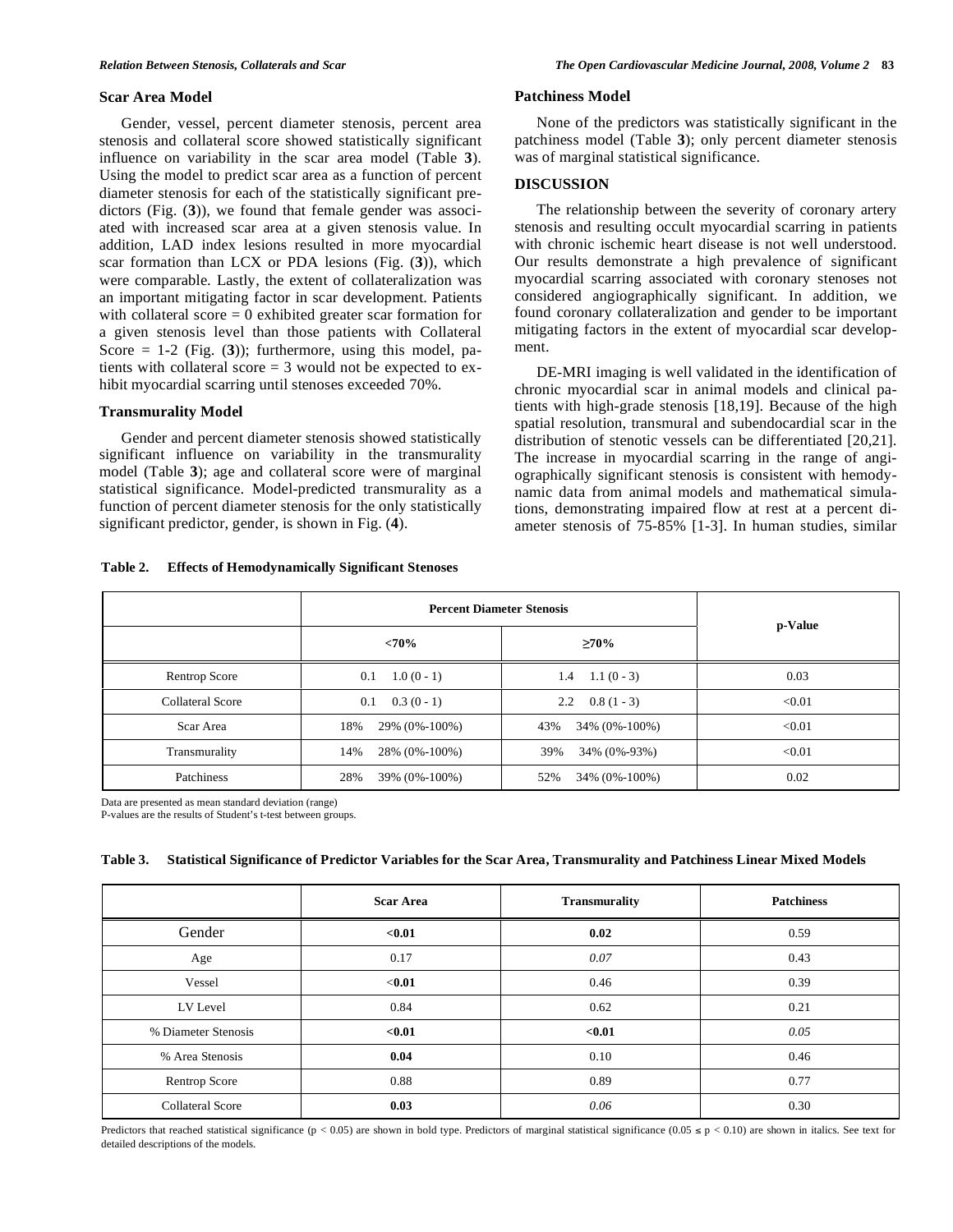#### **Scar Area Model**

 Gender, vessel, percent diameter stenosis, percent area stenosis and collateral score showed statistically significant influence on variability in the scar area model (Table **3**). Using the model to predict scar area as a function of percent diameter stenosis for each of the statistically significant predictors (Fig. (**3**)), we found that female gender was associated with increased scar area at a given stenosis value. In addition, LAD index lesions resulted in more myocardial scar formation than LCX or PDA lesions (Fig. (**3**)), which were comparable. Lastly, the extent of collateralization was an important mitigating factor in scar development. Patients with collateral score  $= 0$  exhibited greater scar formation for a given stenosis level than those patients with Collateral Score  $= 1-2$  (Fig. (3)); furthermore, using this model, patients with collateral score = 3 would not be expected to exhibit myocardial scarring until stenoses exceeded 70%.

## **Transmurality Model**

 Gender and percent diameter stenosis showed statistically significant influence on variability in the transmurality model (Table **3**); age and collateral score were of marginal statistical significance. Model-predicted transmurality as a function of percent diameter stenosis for the only statistically significant predictor, gender, is shown in Fig. (**4**).

**Table 2. Effects of Hemodynamically Significant Stenoses** 

#### **Patchiness Model**

 None of the predictors was statistically significant in the patchiness model (Table **3**); only percent diameter stenosis was of marginal statistical significance.

#### **DISCUSSION**

 The relationship between the severity of coronary artery stenosis and resulting occult myocardial scarring in patients with chronic ischemic heart disease is not well understood. Our results demonstrate a high prevalence of significant myocardial scarring associated with coronary stenoses not considered angiographically significant. In addition, we found coronary collateralization and gender to be important mitigating factors in the extent of myocardial scar development.

 DE-MRI imaging is well validated in the identification of chronic myocardial scar in animal models and clinical patients with high-grade stenosis [18,19]. Because of the high spatial resolution, transmural and subendocardial scar in the distribution of stenotic vessels can be differentiated [20,21]. The increase in myocardial scarring in the range of angiographically significant stenosis is consistent with hemodynamic data from animal models and mathematical simulations, demonstrating impaired flow at rest at a percent diameter stenosis of 75-85% [1-3]. In human studies, similar

|                         | <b>Percent Diameter Stenosis</b> | p-Value              |        |
|-------------------------|----------------------------------|----------------------|--------|
|                         | <70%                             | $\geq 70\%$          |        |
| Rentrop Score           | $1.0(0-1)$<br>0.1                | $1.4$ 1.1 (0 - 3)    | 0.03   |
| <b>Collateral Score</b> | $0.3(0-1)$<br>0.1                | $0.8(1-3)$<br>2.2    | < 0.01 |
| Scar Area               | 18%<br>29% (0%-100%)             | 43%<br>34% (0%-100%) | < 0.01 |
| Transmurality           | 14%<br>28% (0%-100%)             | 34% (0%-93%)<br>39%  | < 0.01 |
| Patchiness              | 28%<br>39% (0%-100%)             | 52%<br>34% (0%-100%) | 0.02   |

Data are presented as mean standard deviation (range)

P-values are the results of Student's t-test between groups.

#### **Table 3. Statistical Significance of Predictor Variables for the Scar Area, Transmurality and Patchiness Linear Mixed Models**

|                         | <b>Scar Area</b> | <b>Transmurality</b> | <b>Patchiness</b> |
|-------------------------|------------------|----------------------|-------------------|
| Gender                  | < 0.01           | 0.02                 | 0.59              |
| Age                     | 0.17             | 0.07                 | 0.43              |
| Vessel                  | $0.01$           | 0.46                 | 0.39              |
| LV Level                | 0.84             | 0.62                 | 0.21              |
| % Diameter Stenosis     | < 0.01           | < 0.01               | 0.05              |
| % Area Stenosis         | 0.04             | 0.10                 | 0.46              |
| Rentrop Score           | 0.88             | 0.89                 | 0.77              |
| <b>Collateral Score</b> | 0.03             | 0.06                 | 0.30              |

Predictors that reached statistical significance (p < 0.05) are shown in bold type. Predictors of marginal statistical significance (0.05  $\le$  p < 0.10) are shown in italics. See text for detailed descriptions of the models.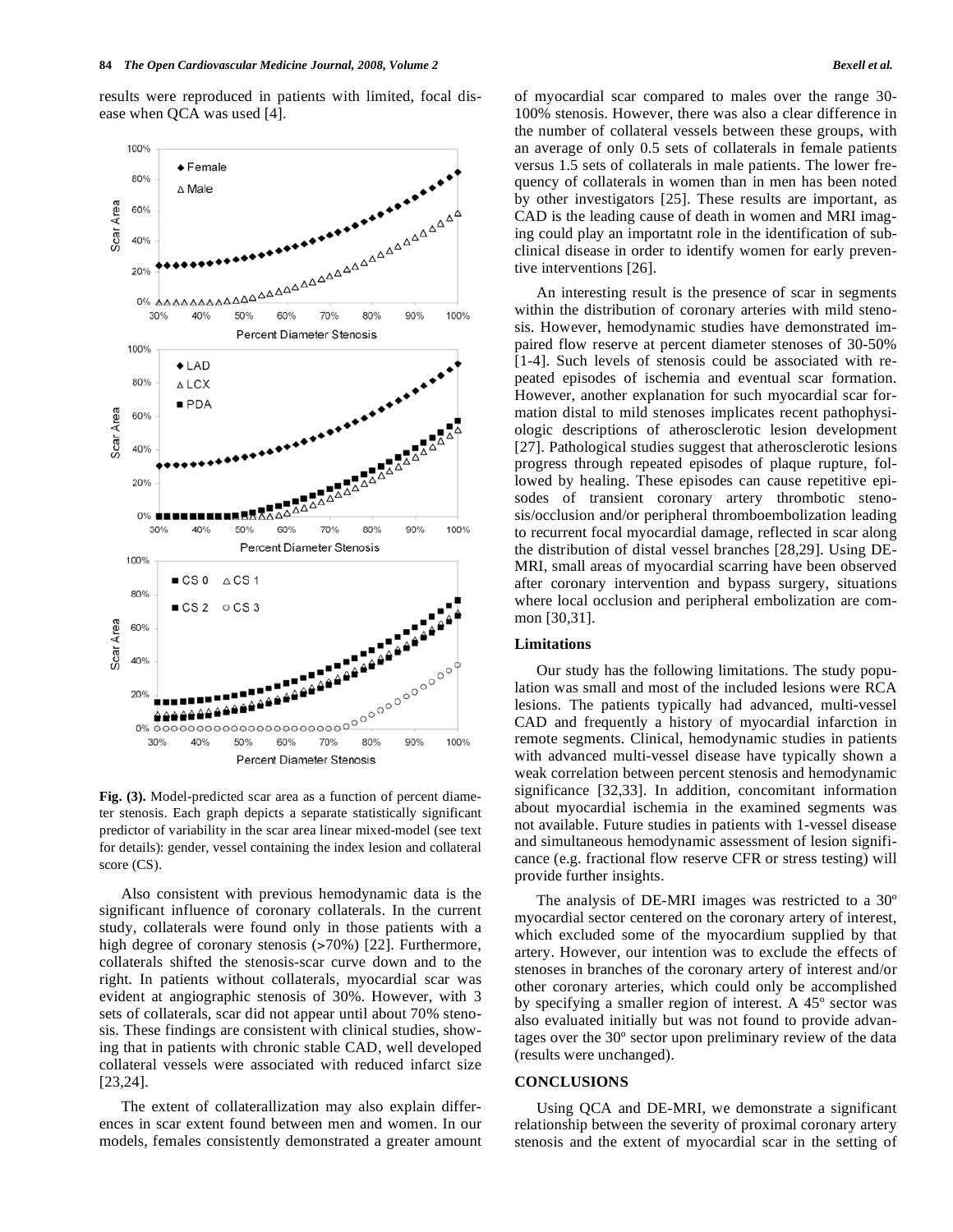results were reproduced in patients with limited, focal disease when QCA was used [4].



**Fig. (3).** Model-predicted scar area as a function of percent diameter stenosis. Each graph depicts a separate statistically significant predictor of variability in the scar area linear mixed-model (see text for details): gender, vessel containing the index lesion and collateral score (CS).

 Also consistent with previous hemodynamic data is the significant influence of coronary collaterals. In the current study, collaterals were found only in those patients with a high degree of coronary stenosis (>70%) [22]. Furthermore, collaterals shifted the stenosis-scar curve down and to the right. In patients without collaterals, myocardial scar was evident at angiographic stenosis of 30%. However, with 3 sets of collaterals, scar did not appear until about 70% stenosis. These findings are consistent with clinical studies, showing that in patients with chronic stable CAD, well developed collateral vessels were associated with reduced infarct size [23,24].

 The extent of collaterallization may also explain differences in scar extent found between men and women. In our models, females consistently demonstrated a greater amount of myocardial scar compared to males over the range 30- 100% stenosis. However, there was also a clear difference in the number of collateral vessels between these groups, with an average of only 0.5 sets of collaterals in female patients versus 1.5 sets of collaterals in male patients. The lower frequency of collaterals in women than in men has been noted by other investigators [25]. These results are important, as CAD is the leading cause of death in women and MRI imaging could play an importatnt role in the identification of subclinical disease in order to identify women for early preventive interventions [26].

 An interesting result is the presence of scar in segments within the distribution of coronary arteries with mild stenosis. However, hemodynamic studies have demonstrated impaired flow reserve at percent diameter stenoses of 30-50% [1-4]. Such levels of stenosis could be associated with repeated episodes of ischemia and eventual scar formation. However, another explanation for such myocardial scar formation distal to mild stenoses implicates recent pathophysiologic descriptions of atherosclerotic lesion development [27]. Pathological studies suggest that atherosclerotic lesions progress through repeated episodes of plaque rupture, followed by healing. These episodes can cause repetitive episodes of transient coronary artery thrombotic stenosis/occlusion and/or peripheral thromboembolization leading to recurrent focal myocardial damage, reflected in scar along the distribution of distal vessel branches [28,29]. Using DE-MRI, small areas of myocardial scarring have been observed after coronary intervention and bypass surgery, situations where local occlusion and peripheral embolization are common [30,31].

#### **Limitations**

 Our study has the following limitations. The study population was small and most of the included lesions were RCA lesions. The patients typically had advanced, multi-vessel CAD and frequently a history of myocardial infarction in remote segments. Clinical, hemodynamic studies in patients with advanced multi-vessel disease have typically shown a weak correlation between percent stenosis and hemodynamic significance [32,33]. In addition, concomitant information about myocardial ischemia in the examined segments was not available. Future studies in patients with 1-vessel disease and simultaneous hemodynamic assessment of lesion significance (e.g. fractional flow reserve CFR or stress testing) will provide further insights.

 The analysis of DE-MRI images was restricted to a 30º myocardial sector centered on the coronary artery of interest, which excluded some of the myocardium supplied by that artery. However, our intention was to exclude the effects of stenoses in branches of the coronary artery of interest and/or other coronary arteries, which could only be accomplished by specifying a smaller region of interest. A 45º sector was also evaluated initially but was not found to provide advantages over the 30º sector upon preliminary review of the data (results were unchanged).

## **CONCLUSIONS**

 Using QCA and DE-MRI, we demonstrate a significant relationship between the severity of proximal coronary artery stenosis and the extent of myocardial scar in the setting of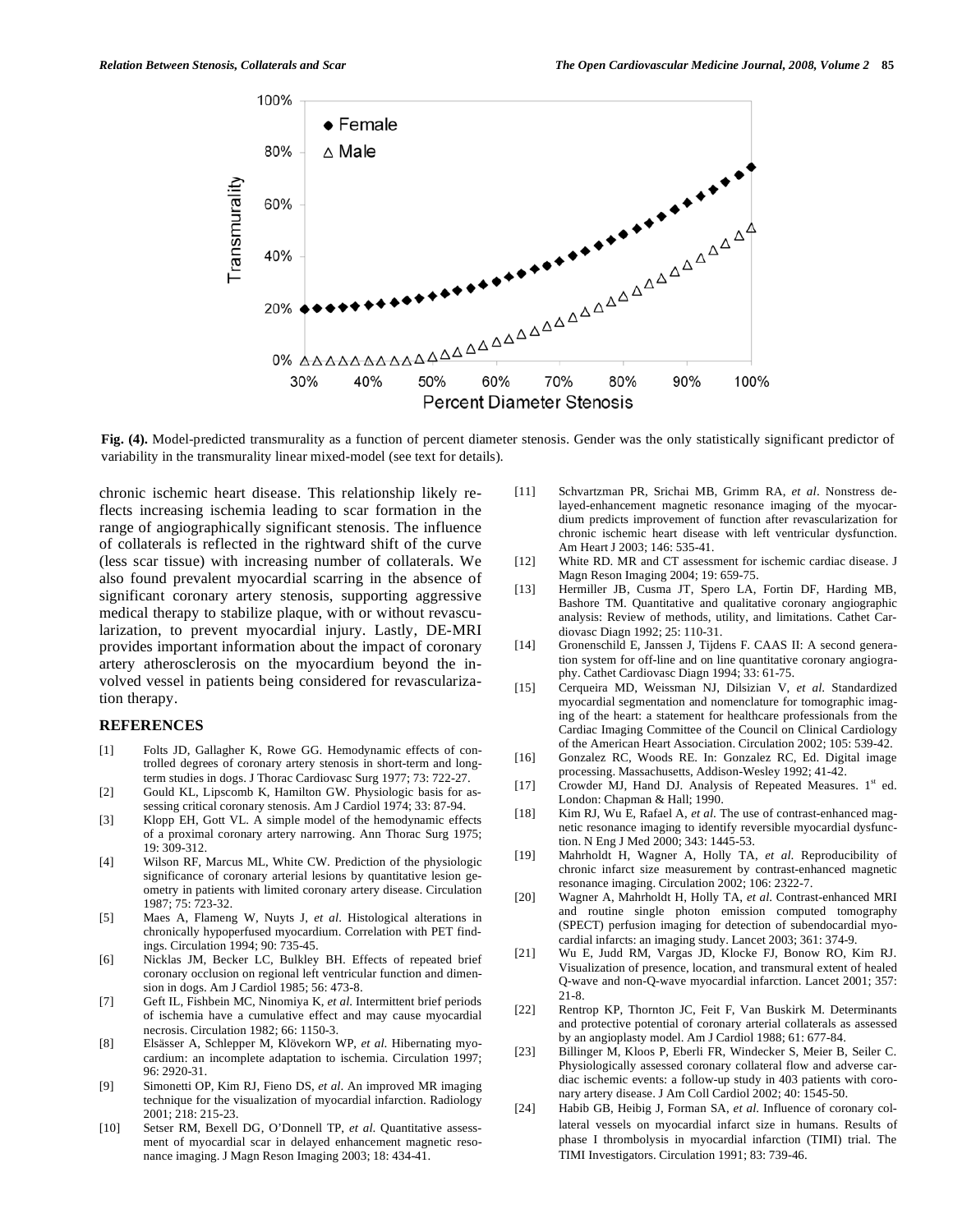

**Fig. (4).** Model-predicted transmurality as a function of percent diameter stenosis. Gender was the only statistically significant predictor of variability in the transmurality linear mixed-model (see text for details).

chronic ischemic heart disease. This relationship likely reflects increasing ischemia leading to scar formation in the range of angiographically significant stenosis. The influence of collaterals is reflected in the rightward shift of the curve (less scar tissue) with increasing number of collaterals. We also found prevalent myocardial scarring in the absence of significant coronary artery stenosis, supporting aggressive medical therapy to stabilize plaque, with or without revascularization, to prevent myocardial injury. Lastly, DE-MRI provides important information about the impact of coronary artery atherosclerosis on the myocardium beyond the involved vessel in patients being considered for revascularization therapy.

#### **REFERENCES**

- [1] Folts JD, Gallagher K, Rowe GG. Hemodynamic effects of controlled degrees of coronary artery stenosis in short-term and longterm studies in dogs. J Thorac Cardiovasc Surg 1977; 73: 722-27.
- [2] Gould KL, Lipscomb K, Hamilton GW. Physiologic basis for assessing critical coronary stenosis. Am J Cardiol 1974; 33: 87-94.
- [3] Klopp EH, Gott VL. A simple model of the hemodynamic effects of a proximal coronary artery narrowing. Ann Thorac Surg 1975; 19: 309-312.
- [4] Wilson RF, Marcus ML, White CW. Prediction of the physiologic significance of coronary arterial lesions by quantitative lesion geometry in patients with limited coronary artery disease. Circulation 1987; 75: 723-32.
- [5] Maes A, Flameng W, Nuyts J, *et al*. Histological alterations in chronically hypoperfused myocardium. Correlation with PET findings. Circulation 1994; 90: 735-45.
- [6] Nicklas JM, Becker LC, Bulkley BH. Effects of repeated brief coronary occlusion on regional left ventricular function and dimension in dogs. Am J Cardiol 1985; 56: 473-8.
- [7] Geft IL, Fishbein MC, Ninomiya K, *et al*. Intermittent brief periods of ischemia have a cumulative effect and may cause myocardial necrosis. Circulation 1982; 66: 1150-3.
- [8] Elsässer A, Schlepper M, Klövekorn WP, *et al*. Hibernating myocardium: an incomplete adaptation to ischemia. Circulation 1997; 96: 2920-31.
- [9] Simonetti OP, Kim RJ, Fieno DS, *et al*. An improved MR imaging technique for the visualization of myocardial infarction. Radiology 2001; 218: 215-23.
- [10] Setser RM, Bexell DG, O'Donnell TP, *et al*. Quantitative assessment of myocardial scar in delayed enhancement magnetic resonance imaging. J Magn Reson Imaging 2003; 18: 434-41.
- [11] Schvartzman PR, Srichai MB, Grimm RA, *et al*. Nonstress delayed-enhancement magnetic resonance imaging of the myocardium predicts improvement of function after revascularization for chronic ischemic heart disease with left ventricular dysfunction. Am Heart J 2003; 146: 535-41.
- [12] White RD. MR and CT assessment for ischemic cardiac disease. J Magn Reson Imaging 2004; 19: 659-75.
- [13] Hermiller JB, Cusma JT, Spero LA, Fortin DF, Harding MB, Bashore TM. Quantitative and qualitative coronary angiographic analysis: Review of methods, utility, and limitations. Cathet Cardiovasc Diagn 1992; 25: 110-31.
- [14] Gronenschild E, Janssen J, Tijdens F. CAAS II: A second generation system for off-line and on line quantitative coronary angiography. Cathet Cardiovasc Diagn 1994; 33: 61-75.
- [15] Cerqueira MD, Weissman NJ, Dilsizian V, *et al*. Standardized myocardial segmentation and nomenclature for tomographic imaging of the heart: a statement for healthcare professionals from the Cardiac Imaging Committee of the Council on Clinical Cardiology of the American Heart Association. Circulation 2002; 105: 539-42.
- [16] Gonzalez RC, Woods RE. In: Gonzalez RC, Ed. Digital image processing. Massachusetts, Addison-Wesley 1992; 41-42.
- [17] Crowder MJ, Hand DJ. Analysis of Repeated Measures. 1st ed. London: Chapman & Hall; 1990.
- [18] Kim RJ, Wu E, Rafael A, *et al*. The use of contrast-enhanced magnetic resonance imaging to identify reversible myocardial dysfunction. N Eng J Med 2000; 343: 1445-53.
- [19] Mahrholdt H, Wagner A, Holly TA, *et al*. Reproducibility of chronic infarct size measurement by contrast-enhanced magnetic resonance imaging. Circulation 2002; 106: 2322-7.
- [20] Wagner A, Mahrholdt H, Holly TA, *et al*. Contrast-enhanced MRI and routine single photon emission computed tomography (SPECT) perfusion imaging for detection of subendocardial myocardial infarcts: an imaging study. Lancet 2003; 361: 374-9.
- [21] Wu E, Judd RM, Vargas JD, Klocke FJ, Bonow RO, Kim RJ. Visualization of presence, location, and transmural extent of healed Q-wave and non-Q-wave myocardial infarction. Lancet 2001; 357: 21-8.
- [22] Rentrop KP, Thornton JC, Feit F, Van Buskirk M. Determinants and protective potential of coronary arterial collaterals as assessed by an angioplasty model. Am J Cardiol 1988; 61: 677-84.
- [23] Billinger M, Kloos P, Eberli FR, Windecker S, Meier B, Seiler C. Physiologically assessed coronary collateral flow and adverse cardiac ischemic events: a follow-up study in 403 patients with coronary artery disease. J Am Coll Cardiol 2002; 40: 1545-50.
- [24] Habib GB, Heibig J, Forman SA, *et al*. Influence of coronary collateral vessels on myocardial infarct size in humans. Results of phase I thrombolysis in myocardial infarction (TIMI) trial. The TIMI Investigators. Circulation 1991; 83: 739-46.